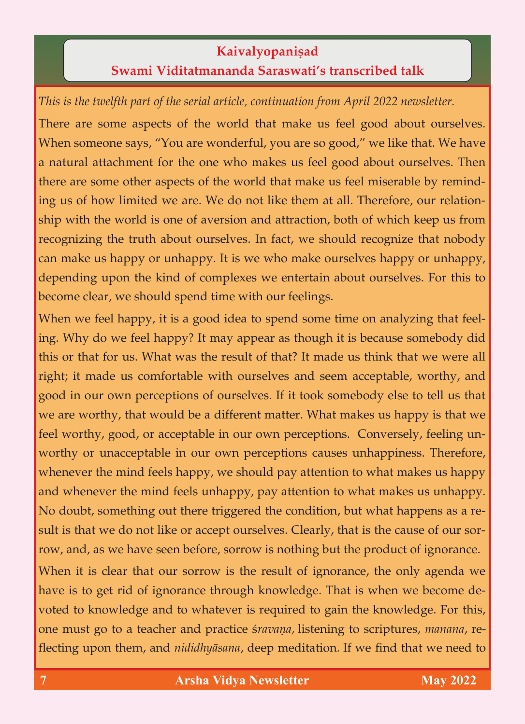## **Kaivalyopaniṣad**<br>**Swami Viditatmananda Saraswati's transcribed talk Swami Viditatmananda Saraswati's transcribed talk**

*This is the twelfth part of the serial article, continuation from April 2022 newsletter.*

There are some aspects of the world that make us feel good about ourselves.<br>When someone says, "You are wonderful, you are so good," we like that. We have a natural attachment for the one who makes us feel good about ourselves. Then there are some other aspects of the world that make us feel miserable by reminding us of how limited we are. We do not like them at all. Therefore, our relationship with the world is one of aversion and attraction, both of which keep us from recognizing the truth about ourselves. In fact, we should recognize that nobody can make us happy or unhappy. It is we who make ourselves happy or unhappy, depending upon the kind of complexes we entertain about ourselves. For this to depending upon the kind of complexes we entertain about ourselves. For this to become clear, we show that time  $\mathbf{p}$  is the spending spending of  $\mathbf{p}$ 

When we feel happy, it is a good idea to spend some time on analyzing that feel-<br>ing. Why do we feel happy? It may appear as though it is because somebody did this or that for us. What was the result of that? It made us think that we were all right; it made us comfortable with ourselves and seem acceptable, worthy, and good in our own perceptions of ourselves. If it took somebody else to tell us that we are worthy, that would be a different matter. What makes us happy is that we feel worthy, good, or acceptable in our own perceptions. Conversely, feeling unworthy or unacceptable in our own perceptions causes unhappiness. Therefore, whenever the mind feels happy, we should pay attention to what makes us happy and whenever the mind feels unhappy, pay attention to what makes us unhappy. No doubt, something out there triggered the condition, but what happens as a result is that we do not like or accept ourselves. Clearly, that is the cause of our sorrow, and, as we have seen before, sorrow is nothing but the product of ignorance. row, and, as we have seen but the product of  $p$  is nothing but the product of ignorance. When it is clear that our sorrow is the result of ignorance, the only agenda we have is to get rid of ignorance through knowledge. That is when we become devoted to knowledge and to whatever is required to gain the knowledge. For this, one must go to a teacher and practice *sravana*, listening to scriptures, manana, reone must go to a teacher and practice ç*ravaëa,* listening to scriptures, *manana*, re-

flecting upon them, and *nididhyäsana*, deep meditation*.* If we find that we need to